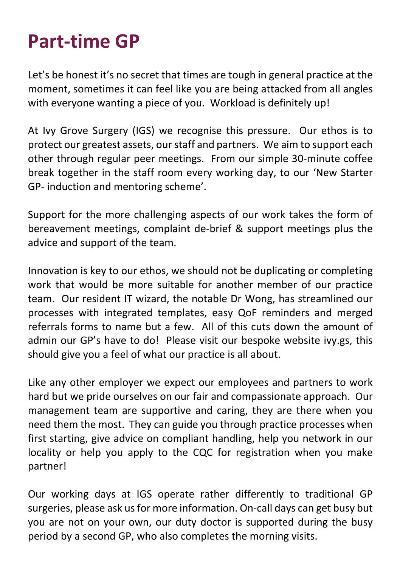## **Part-time GP**

Let's be honest it's no secret that times are tough in general practice at the moment, sometimes it can feel like you are being attacked from all angles with everyone wanting a piece of you. Workload is definitely up!

At Ivy Grove Surgery (IGS) we recognise this pressure. Our ethos is to protect our greatest assets, our staff and partners. We aim to support each other through regular peer meetings. From our simple 30-minute coffee break together in the staff room every working day, to our 'New Starter GP- induction and mentoring scheme'.

Support for the more challenging aspects of our work takes the form of bereavement meetings, complaint de-brief & support meetings plus the advice and support of the team.

Innovation is key to our ethos, we should not be duplicating or completing work that would be more suitable for another member of our practice team. Our resident IT wizard, the notable Dr Wong, has streamlined our processes with integrated templates, easy QoF reminders and merged referrals forms to name but a few. All of this cuts down the amount of admin our GP's have to do! Please visit our bespoke website ivy.gs, this should give you a feel of what our practice is all about.

Like any other employer we expect our employees and partners to work hard but we pride ourselves on our fair and compassionate approach. Our management team are supportive and caring, they are there when you need them the most. They can guide you through practice processes when first starting, give advice on compliant handling, help you network in our locality or help you apply to the CQC for registration when you make partner!

Our working days at IGS operate rather differently to traditional GP surgeries, please ask us for more information. On-call days can get busy but you are not on your own, our duty doctor is supported during the busy period by a second GP, who also completes the morning visits.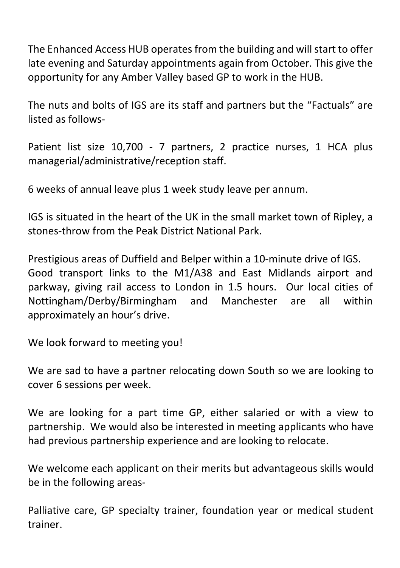The Enhanced Access HUB operates from the building and will start to offer late evening and Saturday appointments again from October. This give the opportunity for any Amber Valley based GP to work in the HUB.

The nuts and bolts of IGS are its staff and partners but the "Factuals" are listed as follows-

Patient list size 10,700 - 7 partners, 2 practice nurses, 1 HCA plus managerial/administrative/reception staff.

6 weeks of annual leave plus 1 week study leave per annum.

IGS is situated in the heart of the UK in the small market town of Ripley, a stones-throw from the Peak District National Park.

Prestigious areas of Duffield and Belper within a 10-minute drive of IGS. Good transport links to the M1/A38 and East Midlands airport and parkway, giving rail access to London in 1.5 hours. Our local cities of Nottingham/Derby/Birmingham and Manchester are all within approximately an hour's drive.

We look forward to meeting you!

We are sad to have a partner relocating down South so we are looking to cover 6 sessions per week.

We are looking for a part time GP, either salaried or with a view to partnership. We would also be interested in meeting applicants who have had previous partnership experience and are looking to relocate.

We welcome each applicant on their merits but advantageous skills would be in the following areas-

Palliative care, GP specialty trainer, foundation year or medical student trainer.